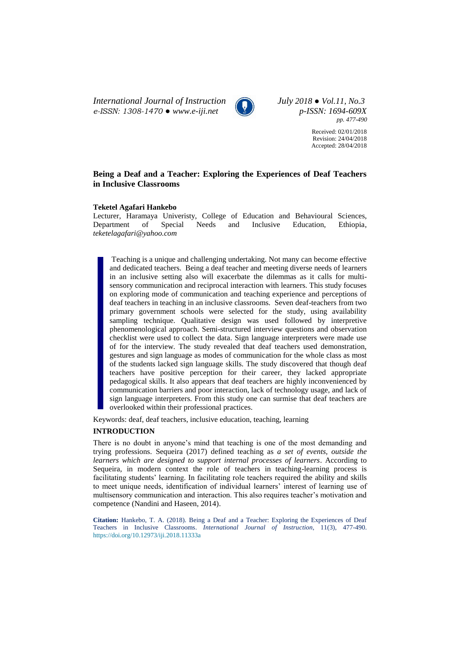*International Journal of Instruction July 2018 ● Vol.11, No.3 e-ISSN: 1308-1470 ● [www.e-iji.net](http://www.e-iji.net/) p-ISSN: 1694-609X*



*pp. 477-490*

Received: 02/01/2018 Revision: 24/04/2018 Accepted: 28/04/2018

# **Being a Deaf and a Teacher: Exploring the Experiences of Deaf Teachers in Inclusive Classrooms**

### **Teketel Agafari Hankebo**

Lecturer, Haramaya Univeristy, College of Education and Behavioural Sciences, Department of Special Needs and Inclusive Education, Ethiopia, Department of Special Needs and Inclusive Education, Ethiopia, *teketelagafari@yahoo.com*

Teaching is a unique and challenging undertaking. Not many can become effective and dedicated teachers. Being a deaf teacher and meeting diverse needs of learners in an inclusive setting also will exacerbate the dilemmas as it calls for multisensory communication and reciprocal interaction with learners. This study focuses on exploring mode of communication and teaching experience and perceptions of deaf teachers in teaching in an inclusive classrooms. Seven deaf-teachers from two primary government schools were selected for the study, using availability sampling technique. Qualitative design was used followed by interpretive phenomenological approach. Semi-structured interview questions and observation checklist were used to collect the data. Sign language interpreters were made use of for the interview. The study revealed that deaf teachers used demonstration, gestures and sign language as modes of communication for the whole class as most of the students lacked sign language skills. The study discovered that though deaf teachers have positive perception for their career, they lacked appropriate pedagogical skills. It also appears that deaf teachers are highly inconvenienced by communication barriers and poor interaction, lack of technology usage, and lack of sign language interpreters. From this study one can surmise that deaf teachers are overlooked within their professional practices.

Keywords: deaf, deaf teachers, inclusive education, teaching, learning

### **INTRODUCTION**

There is no doubt in anyone's mind that teaching is one of the most demanding and trying professions. Sequeira (2017) defined teaching as *a set of events, outside the learners which are designed to support internal processes of learners*. According to Sequeira, in modern context the role of teachers in teaching-learning process is facilitating students' learning. In facilitating role teachers required the ability and skills to meet unique needs, identification of individual learners' interest of learning use of multisensory communication and interaction. This also requires teacher's motivation and competence (Nandini and Haseen, 2014).

**Citation:** Hankebo, T. A. (2018). Being a Deaf and a Teacher: Exploring the Experiences of Deaf Teachers in Inclusive Classrooms. *International Journal of Instruction*, 11(3), 477-490. <https://doi.org/10.12973/iji.2018.11333a>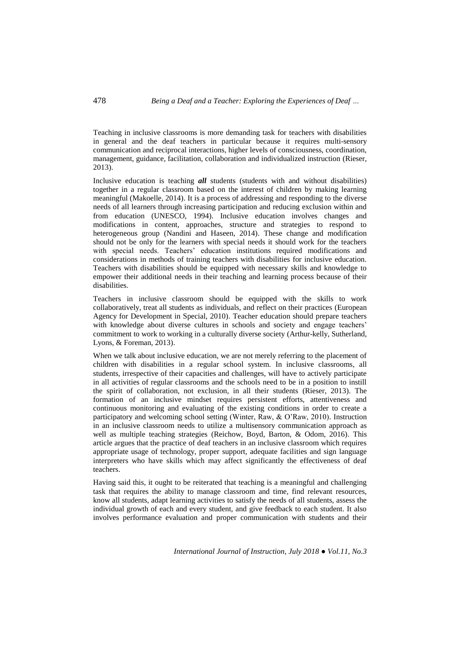# 478 *Being a Deaf and a Teacher: Exploring the Experiences of Deaf …*

Teaching in inclusive classrooms is more demanding task for teachers with disabilities in general and the deaf teachers in particular because it requires multi-sensory communication and reciprocal interactions, higher levels of consciousness, coordination, management, guidance, facilitation, collaboration and individualized instruction (Rieser, 2013).

Inclusive education is teaching *all* students (students with and without disabilities) together in a regular classroom based on the interest of children by making learning meaningful (Makoelle, 2014). It is a process of addressing and responding to the diverse needs of all learners through increasing participation and reducing exclusion within and from education (UNESCO, 1994). Inclusive education involves changes and modifications in content, approaches, structure and strategies to respond to heterogeneous group (Nandini and Haseen, 2014). These change and modification should not be only for the learners with special needs it should work for the teachers with special needs. Teachers' education institutions required modifications and considerations in methods of training teachers with disabilities for inclusive education. Teachers with disabilities should be equipped with necessary skills and knowledge to empower their additional needs in their teaching and learning process because of their disabilities.

Teachers in inclusive classroom should be equipped with the skills to work collaboratively, treat all students as individuals, and reflect on their practices (European Agency for Development in Special, 2010). Teacher education should prepare teachers with knowledge about diverse cultures in schools and society and engage teachers' commitment to work to working in a culturally diverse society (Arthur-kelly, Sutherland, Lyons, & Foreman, 2013).

When we talk about inclusive education, we are not merely referring to the placement of children with disabilities in a regular school system. In inclusive classrooms, all students, irrespective of their capacities and challenges, will have to actively participate in all activities of regular classrooms and the schools need to be in a position to instill the spirit of collaboration, not exclusion, in all their students (Rieser, 2013). The formation of an inclusive mindset requires persistent efforts, attentiveness and continuous monitoring and evaluating of the existing conditions in order to create a participatory and welcoming school setting (Winter, Raw, & O'Raw, 2010). Instruction in an inclusive classroom needs to utilize a multisensory communication approach as well as multiple teaching strategies (Reichow, Boyd, Barton, & Odom, 2016). This article argues that the practice of deaf teachers in an inclusive classroom which requires appropriate usage of technology, proper support, adequate facilities and sign language interpreters who have skills which may affect significantly the effectiveness of deaf teachers.

Having said this, it ought to be reiterated that teaching is a meaningful and challenging task that requires the ability to manage classroom and time, find relevant resources, know all students, adapt learning activities to satisfy the needs of all students, assess the individual growth of each and every student, and give feedback to each student. It also involves performance evaluation and proper communication with students and their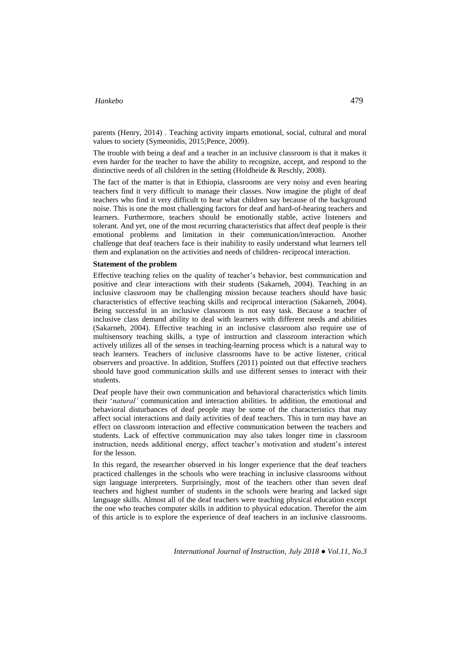parents (Henry, 2014) . Teaching activity imparts emotional, social, cultural and moral values to society (Symeonidis, 2015;Pence, 2009).

The trouble with being a deaf and a teacher in an inclusive classroom is that it makes it even harder for the teacher to have the ability to recognize, accept, and respond to the distinctive needs of all children in the setting (Holdheide & Reschly, 2008).

The fact of the matter is that in Ethiopia, classrooms are very noisy and even hearing teachers find it very difficult to manage their classes. Now imagine the plight of deaf teachers who find it very difficult to hear what children say because of the background noise. This is one the most challenging factors for deaf and hard-of-hearing teachers and learners. Furthermore, teachers should be emotionally stable, active listeners and tolerant. And yet, one of the most recurring characteristics that affect deaf people is their emotional problems and limitation in their communication/interaction. Another challenge that deaf teachers face is their inability to easily understand what learners tell them and explanation on the activities and needs of children- reciprocal interaction.

#### **Statement of the problem**

Effective teaching relies on the quality of teacher's behavior, best communication and positive and clear interactions with their students (Sakarneh, 2004). Teaching in an inclusive classroom may be challenging mission because teachers should have basic characteristics of effective teaching skills and reciprocal interaction (Sakarneh, 2004). Being successful in an inclusive classroom is not easy task. Because a teacher of inclusive class demand ability to deal with learners with different needs and abilities (Sakarneh, 2004). Effective teaching in an inclusive classroom also require use of multisensory teaching skills, a type of instruction and classroom interaction which actively utilizes all of the senses in teaching-learning process which is a natural way to teach learners. Teachers of inclusive classrooms have to be active listener, critical observers and proactive. In addition, Stoffers (2011) pointed out that effective teachers should have good communication skills and use different senses to interact with their students.

Deaf people have their own communication and behavioral characteristics which limits their '*natural'* communication and interaction abilities. In addition, the emotional and behavioral disturbances of deaf people may be some of the characteristics that may affect social interactions and daily activities of deaf teachers. This in turn may have an effect on classroom interaction and effective communication between the teachers and students. Lack of effective communication may also takes longer time in classroom instruction, needs additional energy, affect teacher's motivation and student's interest for the lesson.

In this regard, the researcher observed in his longer experience that the deaf teachers practiced challenges in the schools who were teaching in inclusive classrooms without sign language interpreters. Surprisingly, most of the teachers other than seven deaf teachers and highest number of students in the schools were hearing and lacked sign language skills. Almost all of the deaf teachers were teaching physical education except the one who teaches computer skills in addition to physical education. Therefor the aim of this article is to explore the experience of deaf teachers in an inclusive classrooms.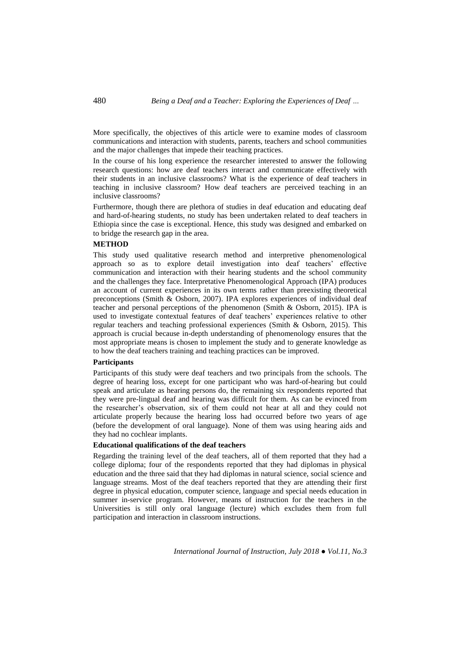More specifically, the objectives of this article were to examine modes of classroom communications and interaction with students, parents, teachers and school communities and the major challenges that impede their teaching practices.

In the course of his long experience the researcher interested to answer the following research questions: how are deaf teachers interact and communicate effectively with their students in an inclusive classrooms? What is the experience of deaf teachers in teaching in inclusive classroom? How deaf teachers are perceived teaching in an inclusive classrooms?

Furthermore, though there are plethora of studies in deaf education and educating deaf and hard-of-hearing students, no study has been undertaken related to deaf teachers in Ethiopia since the case is exceptional. Hence, this study was designed and embarked on to bridge the research gap in the area.

### **METHOD**

This study used qualitative research method and interpretive phenomenological approach so as to explore detail investigation into deaf teachers' effective communication and interaction with their hearing students and the school community and the challenges they face. Interpretative Phenomenological Approach (IPA) produces an account of current experiences in its own terms rather than preexisting theoretical preconceptions (Smith & Osborn, 2007). IPA explores experiences of individual deaf teacher and personal perceptions of the phenomenon (Smith & Osborn, 2015). IPA is used to investigate contextual features of deaf teachers' experiences relative to other regular teachers and teaching professional experiences (Smith & Osborn, 2015). This approach is crucial because in-depth understanding of phenomenology ensures that the most appropriate means is chosen to implement the study and to generate knowledge as to how the deaf teachers training and teaching practices can be improved.

### **Participants**

Participants of this study were deaf teachers and two principals from the schools. The degree of hearing loss, except for one participant who was hard-of-hearing but could speak and articulate as hearing persons do, the remaining six respondents reported that they were pre-lingual deaf and hearing was difficult for them. As can be evinced from the researcher's observation, six of them could not hear at all and they could not articulate properly because the hearing loss had occurred before two years of age (before the development of oral language). None of them was using hearing aids and they had no cochlear implants.

### **Educational qualifications of the deaf teachers**

Regarding the training level of the deaf teachers, all of them reported that they had a college diploma; four of the respondents reported that they had diplomas in physical education and the three said that they had diplomas in natural science, social science and language streams. Most of the deaf teachers reported that they are attending their first degree in physical education, computer science, language and special needs education in summer in-service program. However, means of instruction for the teachers in the Universities is still only oral language (lecture) which excludes them from full participation and interaction in classroom instructions.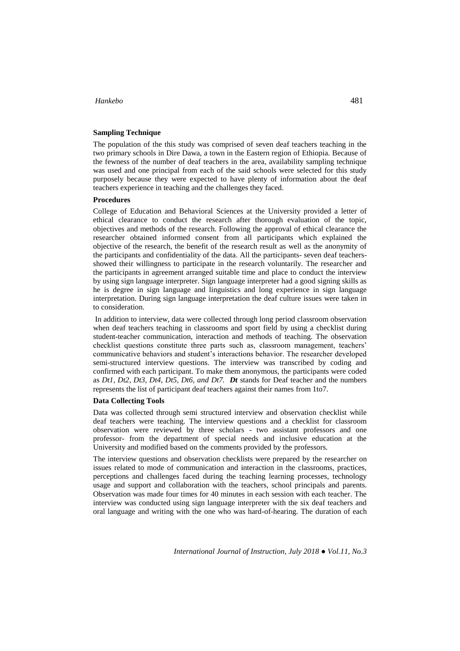## **Sampling Technique**

The population of the this study was comprised of seven deaf teachers teaching in the two primary schools in Dire Dawa, a town in the Eastern region of Ethiopia. Because of the fewness of the number of deaf teachers in the area, availability sampling technique was used and one principal from each of the said schools were selected for this study purposely because they were expected to have plenty of information about the deaf teachers experience in teaching and the challenges they faced.

### **Procedures**

College of Education and Behavioral Sciences at the University provided a letter of ethical clearance to conduct the research after thorough evaluation of the topic, objectives and methods of the research. Following the approval of ethical clearance the researcher obtained informed consent from all participants which explained the objective of the research, the benefit of the research result as well as the anonymity of the participants and confidentiality of the data. All the participants- seven deaf teachersshowed their willingness to participate in the research voluntarily. The researcher and the participants in agreement arranged suitable time and place to conduct the interview by using sign language interpreter. Sign language interpreter had a good signing skills as he is degree in sign language and linguistics and long experience in sign language interpretation. During sign language interpretation the deaf culture issues were taken in to consideration.

In addition to interview, data were collected through long period classroom observation when deaf teachers teaching in classrooms and sport field by using a checklist during student-teacher communication, interaction and methods of teaching. The observation checklist questions constitute three parts such as, classroom management, teachers' communicative behaviors and student's interactions behavior. The researcher developed semi-structured interview questions. The interview was transcribed by coding and confirmed with each participant. To make them anonymous, the participants were coded as *Dt1, Dt2, Dt3, Dt4, Dt5, Dt6, and Dt7. Dt* stands for Deaf teacher and the numbers represents the list of participant deaf teachers against their names from 1to7.

#### **Data Collecting Tools**

Data was collected through semi structured interview and observation checklist while deaf teachers were teaching. The interview questions and a checklist for classroom observation were reviewed by three scholars - two assistant professors and one professor- from the department of special needs and inclusive education at the University and modified based on the comments provided by the professors.

The interview questions and observation checklists were prepared by the researcher on issues related to mode of communication and interaction in the classrooms, practices, perceptions and challenges faced during the teaching learning processes, technology usage and support and collaboration with the teachers, school principals and parents. Observation was made four times for 40 minutes in each session with each teacher. The interview was conducted using sign language interpreter with the six deaf teachers and oral language and writing with the one who was hard-of-hearing. The duration of each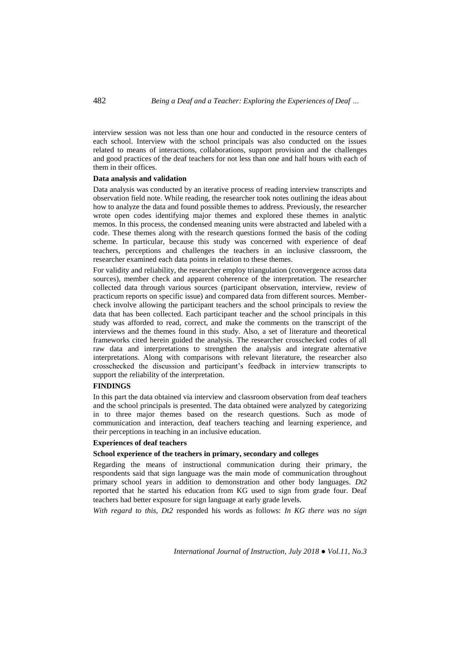interview session was not less than one hour and conducted in the resource centers of each school. Interview with the school principals was also conducted on the issues related to means of interactions, collaborations, support provision and the challenges and good practices of the deaf teachers for not less than one and half hours with each of them in their offices.

### **Data analysis and validation**

Data analysis was conducted by an iterative process of reading interview transcripts and observation field note. While reading, the researcher took notes outlining the ideas about how to analyze the data and found possible themes to address. Previously, the researcher wrote open codes identifying major themes and explored these themes in analytic memos. In this process, the condensed meaning units were abstracted and labeled with a code. These themes along with the research questions formed the basis of the coding scheme. In particular, because this study was concerned with experience of deaf teachers, perceptions and challenges the teachers in an inclusive classroom, the researcher examined each data points in relation to these themes.

For validity and reliability, the researcher employ triangulation (convergence across data sources), member check and apparent coherence of the interpretation. The researcher collected data through various sources (participant observation, interview, review of practicum reports on specific issue) and compared data from different sources. Membercheck involve allowing the participant teachers and the school principals to review the data that has been collected. Each participant teacher and the school principals in this study was afforded to read, correct, and make the comments on the transcript of the interviews and the themes found in this study. Also, a set of literature and theoretical frameworks cited herein guided the analysis. The researcher crosschecked codes of all raw data and interpretations to strengthen the analysis and integrate alternative interpretations. Along with comparisons with relevant literature, the researcher also crosschecked the discussion and participant's feedback in interview transcripts to support the reliability of the interpretation.

### **FINDINGS**

In this part the data obtained via interview and classroom observation from deaf teachers and the school principals is presented. The data obtained were analyzed by categorizing in to three major themes based on the research questions. Such as mode of communication and interaction, deaf teachers teaching and learning experience, and their perceptions in teaching in an inclusive education.

#### **Experiences of deaf teachers**

### **School experience of the teachers in primary, secondary and colleges**

Regarding the means of instructional communication during their primary, the respondents said that sign language was the main mode of communication throughout primary school years in addition to demonstration and other body languages. *Dt2* reported that he started his education from KG used to sign from grade four. Deaf teachers had better exposure for sign language at early grade levels.

*With regard to this, Dt2* responded his words as follows: *In KG there was no sign*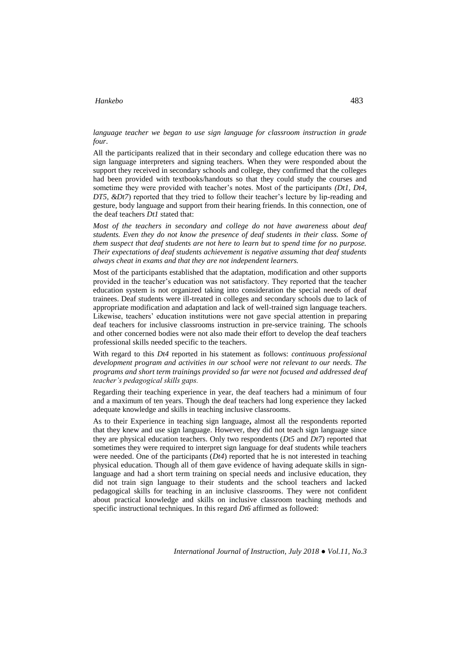*language teacher we began to use sign language for classroom instruction in grade four*.

All the participants realized that in their secondary and college education there was no sign language interpreters and signing teachers. When they were responded about the support they received in secondary schools and college, they confirmed that the colleges had been provided with textbooks/handouts so that they could study the courses and sometime they were provided with teacher's notes. Most of the participants *(Dt1, Dt4, DT5, &Dt7*) reported that they tried to follow their teacher's lecture by lip-reading and gesture, body language and support from their hearing friends. In this connection, one of the deaf teachers *Dt1* stated that:

*Most of the teachers in secondary and college do not have awareness about deaf students. Even they do not know the presence of deaf students in their class. Some of them suspect that deaf students are not here to learn but to spend time for no purpose. Their expectations of deaf students achievement is negative assuming that deaf students always cheat in exams and that they are not independent learners.*

Most of the participants established that the adaptation, modification and other supports provided in the teacher's education was not satisfactory. They reported that the teacher education system is not organized taking into consideration the special needs of deaf trainees. Deaf students were ill-treated in colleges and secondary schools due to lack of appropriate modification and adaptation and lack of well-trained sign language teachers. Likewise, teachers' education institutions were not gave special attention in preparing deaf teachers for inclusive classrooms instruction in pre-service training. The schools and other concerned bodies were not also made their effort to develop the deaf teachers professional skills needed specific to the teachers.

With regard to this *Dt4* reported in his statement as follows: *continuous professional development program and activities in our school were not relevant to our needs. The programs and short term trainings provided so far were not focused and addressed deaf teacher's pedagogical skills gaps.* 

Regarding their teaching experience in year, the deaf teachers had a minimum of four and a maximum of ten years. Though the deaf teachers had long experience they lacked adequate knowledge and skills in teaching inclusive classrooms.

As to their Experience in teaching sign language**,** almost all the respondents reported that they knew and use sign language. However, they did not teach sign language since they are physical education teachers. Only two respondents (*Dt5* and *Dt7*) reported that sometimes they were required to interpret sign language for deaf students while teachers were needed. One of the participants (*Dt4*) reported that he is not interested in teaching physical education. Though all of them gave evidence of having adequate skills in signlanguage and had a short term training on special needs and inclusive education, they did not train sign language to their students and the school teachers and lacked pedagogical skills for teaching in an inclusive classrooms. They were not confident about practical knowledge and skills on inclusive classroom teaching methods and specific instructional techniques. In this regard *Dt6* affirmed as followed: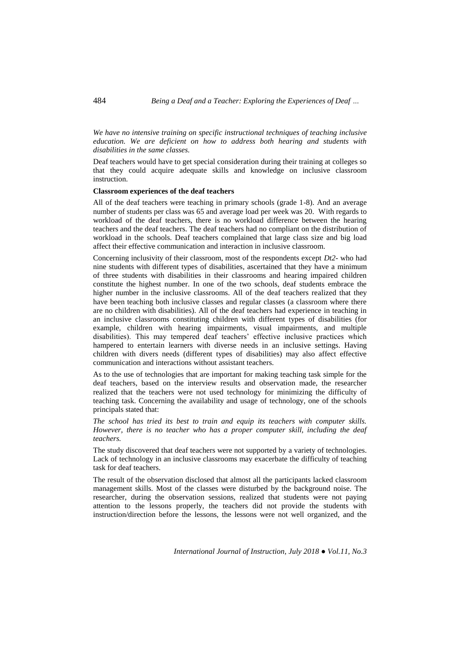*We have no intensive training on specific instructional techniques of teaching inclusive education. We are deficient on how to address both hearing and students with disabilities in the same classes.*

Deaf teachers would have to get special consideration during their training at colleges so that they could acquire adequate skills and knowledge on inclusive classroom instruction.

## **Classroom experiences of the deaf teachers**

All of the deaf teachers were teaching in primary schools (grade 1-8). And an average number of students per class was 65 and average load per week was 20. With regards to workload of the deaf teachers, there is no workload difference between the hearing teachers and the deaf teachers. The deaf teachers had no compliant on the distribution of workload in the schools. Deaf teachers complained that large class size and big load affect their effective communication and interaction in inclusive classroom.

Concerning inclusivity of their classroom, most of the respondents except *Dt2-* who had nine students with different types of disabilities*,* ascertained that they have a minimum of three students with disabilities in their classrooms and hearing impaired children constitute the highest number. In one of the two schools, deaf students embrace the higher number in the inclusive classrooms. All of the deaf teachers realized that they have been teaching both inclusive classes and regular classes (a classroom where there are no children with disabilities). All of the deaf teachers had experience in teaching in an inclusive classrooms constituting children with different types of disabilities (for example, children with hearing impairments, visual impairments, and multiple disabilities). This may tempered deaf teachers' effective inclusive practices which hampered to entertain learners with diverse needs in an inclusive settings. Having children with divers needs (different types of disabilities) may also affect effective communication and interactions without assistant teachers.

As to the use of technologies that are important for making teaching task simple for the deaf teachers, based on the interview results and observation made, the researcher realized that the teachers were not used technology for minimizing the difficulty of teaching task. Concerning the availability and usage of technology, one of the schools principals stated that:

*The school has tried its best to train and equip its teachers with computer skills. However, there is no teacher who has a proper computer skill, including the deaf teachers.* 

The study discovered that deaf teachers were not supported by a variety of technologies. Lack of technology in an inclusive classrooms may exacerbate the difficulty of teaching task for deaf teachers.

The result of the observation disclosed that almost all the participants lacked classroom management skills. Most of the classes were disturbed by the background noise. The researcher, during the observation sessions, realized that students were not paying attention to the lessons properly, the teachers did not provide the students with instruction/direction before the lessons, the lessons were not well organized, and the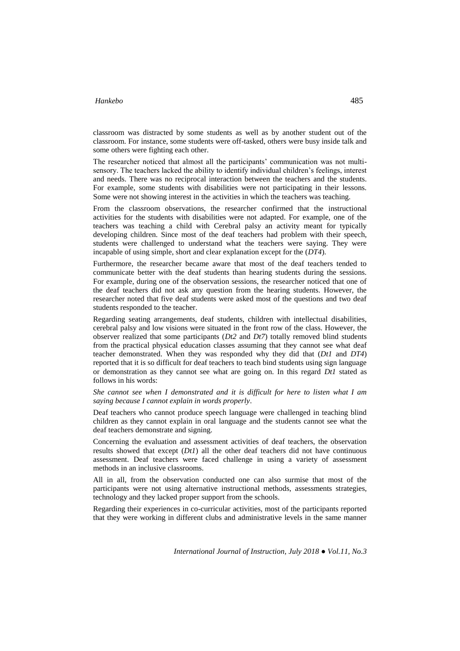classroom was distracted by some students as well as by another student out of the classroom. For instance, some students were off-tasked, others were busy inside talk and some others were fighting each other.

The researcher noticed that almost all the participants' communication was not multisensory. The teachers lacked the ability to identify individual children's feelings, interest and needs. There was no reciprocal interaction between the teachers and the students. For example, some students with disabilities were not participating in their lessons. Some were not showing interest in the activities in which the teachers was teaching.

From the classroom observations, the researcher confirmed that the instructional activities for the students with disabilities were not adapted. For example, one of the teachers was teaching a child with Cerebral palsy an activity meant for typically developing children. Since most of the deaf teachers had problem with their speech, students were challenged to understand what the teachers were saying. They were incapable of using simple, short and clear explanation except for the (*DT4*).

Furthermore, the researcher became aware that most of the deaf teachers tended to communicate better with the deaf students than hearing students during the sessions. For example, during one of the observation sessions, the researcher noticed that one of the deaf teachers did not ask any question from the hearing students. However, the researcher noted that five deaf students were asked most of the questions and two deaf students responded to the teacher.

Regarding seating arrangements, deaf students, children with intellectual disabilities, cerebral palsy and low visions were situated in the front row of the class. However, the observer realized that some participants (*Dt2* and *Dt7*) totally removed blind students from the practical physical education classes assuming that they cannot see what deaf teacher demonstrated. When they was responded why they did that (*Dt1* and *DT4*) reported that it is so difficult for deaf teachers to teach bind students using sign language or demonstration as they cannot see what are going on. In this regard *Dt1* stated as follows in his words:

*She cannot see when I demonstrated and it is difficult for here to listen what I am saying because I cannot explain in words properly*.

Deaf teachers who cannot produce speech language were challenged in teaching blind children as they cannot explain in oral language and the students cannot see what the deaf teachers demonstrate and signing.

Concerning the evaluation and assessment activities of deaf teachers, the observation results showed that except (*Dt1*) all the other deaf teachers did not have continuous assessment. Deaf teachers were faced challenge in using a variety of assessment methods in an inclusive classrooms.

All in all, from the observation conducted one can also surmise that most of the participants were not using alternative instructional methods, assessments strategies, technology and they lacked proper support from the schools.

Regarding their experiences in co-curricular activities, most of the participants reported that they were working in different clubs and administrative levels in the same manner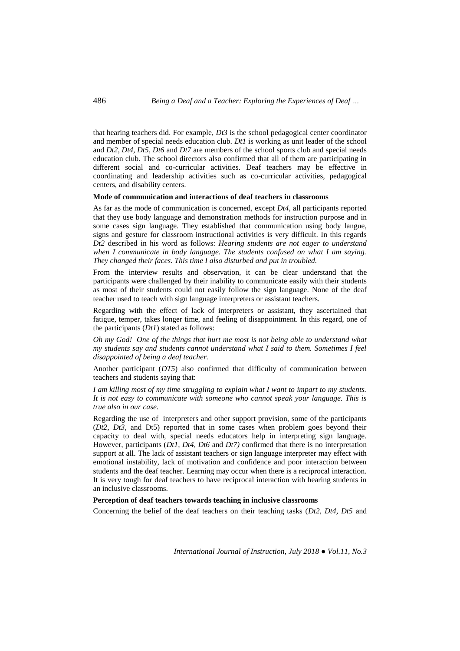that hearing teachers did. For example, *Dt3* is the school pedagogical center coordinator and member of special needs education club. *Dt1* is working as unit leader of the school and *Dt2, Dt4, Dt5, Dt6* and *Dt7* are members of the school sports club and special needs education club. The school directors also confirmed that all of them are participating in different social and co-curricular activities. Deaf teachers may be effective in coordinating and leadership activities such as co-curricular activities, pedagogical centers, and disability centers.

#### **Mode of communication and interactions of deaf teachers in classrooms**

As far as the mode of communication is concerned, except *Dt4*, all participants reported that they use body language and demonstration methods for instruction purpose and in some cases sign language. They established that communication using body langue, signs and gesture for classroom instructional activities is very difficult. In this regards *Dt2* described in his word as follows: *Hearing students are not eager to understand when I communicate in body language. The students confused on what I am saying. They changed their faces. This time I also disturbed and put in troubled.* 

From the interview results and observation, it can be clear understand that the participants were challenged by their inability to communicate easily with their students as most of their students could not easily follow the sign language. None of the deaf teacher used to teach with sign language interpreters or assistant teachers.

Regarding with the effect of lack of interpreters or assistant, they ascertained that fatigue, temper, takes longer time, and feeling of disappointment. In this regard, one of the participants (*Dt1*) stated as follows:

*Oh my God! One of the things that hurt me most is not being able to understand what my students say and students cannot understand what I said to them. Sometimes I feel disappointed of being a deaf teacher.*

Another participant (*DT5*) also confirmed that difficulty of communication between teachers and students saying that:

*I am killing most of my time struggling to explain what I want to impart to my students. It is not easy to communicate with someone who cannot speak your language. This is true also in our case.*

Regarding the use of interpreters and other support provision, some of the participants (*Dt2, Dt3*, and Dt5) reported that in some cases when problem goes beyond their capacity to deal with, special needs educators help in interpreting sign language. However, participants (*Dt1, Dt4, Dt6* and *Dt7)* confirmed that there is no interpretation support at all. The lack of assistant teachers or sign language interpreter may effect with emotional instability, lack of motivation and confidence and poor interaction between students and the deaf teacher. Learning may occur when there is a reciprocal interaction. It is very tough for deaf teachers to have reciprocal interaction with hearing students in an inclusive classrooms.

#### **Perception of deaf teachers towards teaching in inclusive classrooms**

Concerning the belief of the deaf teachers on their teaching tasks (*Dt2, Dt4, Dt5* and

*International Journal of Instruction, July 2018 ● Vol.11, No.3*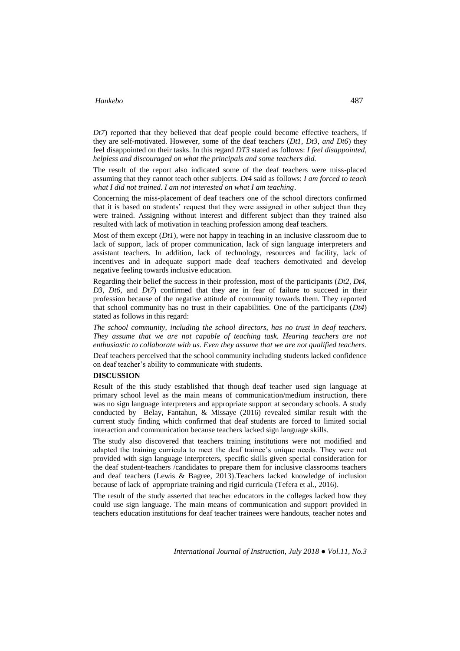*Dt7*) reported that they believed that deaf people could become effective teachers, if they are self-motivated. However, some of the deaf teachers (*Dt1, Dt3, and Dt6*) they feel disappointed on their tasks. In this regard *DT3* stated as follows: *I feel disappointed, helpless and discouraged on what the principals and some teachers did.*

The result of the report also indicated some of the deaf teachers were miss-placed assuming that they cannot teach other subjects. *Dt4* said as follows: *I am forced to teach what I did not trained. I am not interested on what I am teaching*.

Concerning the miss-placement of deaf teachers one of the school directors confirmed that it is based on students' request that they were assigned in other subject than they were trained. Assigning without interest and different subject than they trained also resulted with lack of motivation in teaching profession among deaf teachers.

Most of them except (*Dt1*), were not happy in teaching in an inclusive classroom due to lack of support, lack of proper communication, lack of sign language interpreters and assistant teachers. In addition, lack of technology, resources and facility, lack of incentives and in adequate support made deaf teachers demotivated and develop negative feeling towards inclusive education.

Regarding their belief the success in their profession, most of the participants (*Dt2, Dt4, D3, Dt6,* and *Dt7*) confirmed that they are in fear of failure to succeed in their profession because of the negative attitude of community towards them. They reported that school community has no trust in their capabilities. One of the participants (*Dt4*) stated as follows in this regard:

*The school community, including the school directors, has no trust in deaf teachers. They assume that we are not capable of teaching task. Hearing teachers are not enthusiastic to collaborate with us. Even they assume that we are not qualified teachers.*

Deaf teachers perceived that the school community including students lacked confidence on deaf teacher's ability to communicate with students.

#### **DISCUSSION**

Result of the this study established that though deaf teacher used sign language at primary school level as the main means of communication/medium instruction, there was no sign language interpreters and appropriate support at secondary schools. A study conducted by Belay, Fantahun, & Missaye (2016) revealed similar result with the current study finding which confirmed that deaf students are forced to limited social interaction and communication because teachers lacked sign language skills.

The study also discovered that teachers training institutions were not modified and adapted the training curricula to meet the deaf trainee's unique needs. They were not provided with sign language interpreters, specific skills given special consideration for the deaf student-teachers /candidates to prepare them for inclusive classrooms teachers and deaf teachers (Lewis & Bagree, 2013).Teachers lacked knowledge of inclusion because of lack of appropriate training and rigid curricula (Tefera et al., 2016).

The result of the study asserted that teacher educators in the colleges lacked how they could use sign language. The main means of communication and support provided in teachers education institutions for deaf teacher trainees were handouts, teacher notes and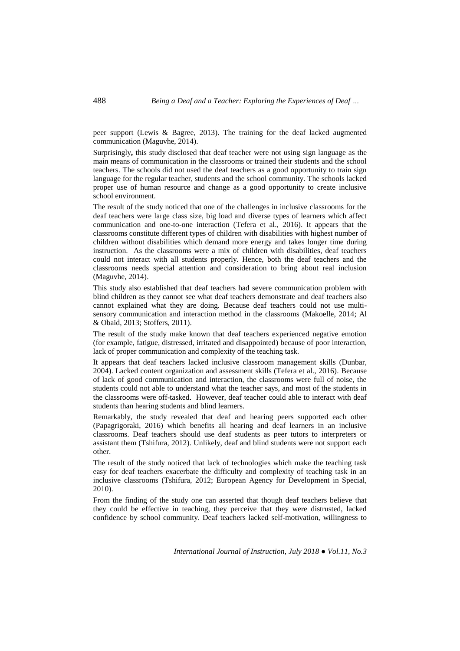peer support (Lewis & Bagree, 2013). The training for the deaf lacked augmented communication (Maguvhe, 2014).

Surprisingly**,** this study disclosed that deaf teacher were not using sign language as the main means of communication in the classrooms or trained their students and the school teachers. The schools did not used the deaf teachers as a good opportunity to train sign language for the regular teacher, students and the school community. The schools lacked proper use of human resource and change as a good opportunity to create inclusive school environment.

The result of the study noticed that one of the challenges in inclusive classrooms for the deaf teachers were large class size, big load and diverse types of learners which affect communication and one-to-one interaction (Tefera et al., 2016). It appears that the classrooms constitute different types of children with disabilities with highest number of children without disabilities which demand more energy and takes longer time during instruction. As the classrooms were a mix of children with disabilities, deaf teachers could not interact with all students properly. Hence, both the deaf teachers and the classrooms needs special attention and consideration to bring about real inclusion (Maguvhe, 2014).

This study also established that deaf teachers had severe communication problem with blind children as they cannot see what deaf teachers demonstrate and deaf teachers also cannot explained what they are doing. Because deaf teachers could not use multisensory communication and interaction method in the classrooms (Makoelle, 2014; Al & Obaid, 2013; Stoffers, 2011).

The result of the study make known that deaf teachers experienced negative emotion (for example, fatigue, distressed, irritated and disappointed) because of poor interaction, lack of proper communication and complexity of the teaching task.

It appears that deaf teachers lacked inclusive classroom management skills (Dunbar, 2004). Lacked content organization and assessment skills (Tefera et al., 2016). Because of lack of good communication and interaction, the classrooms were full of noise, the students could not able to understand what the teacher says, and most of the students in the classrooms were off-tasked. However, deaf teacher could able to interact with deaf students than hearing students and blind learners.

Remarkably, the study revealed that deaf and hearing peers supported each other (Papagrigoraki, 2016) which benefits all hearing and deaf learners in an inclusive classrooms. Deaf teachers should use deaf students as peer tutors to interpreters or assistant them (Tshifura, 2012). Unlikely, deaf and blind students were not support each other.

The result of the study noticed that lack of technologies which make the teaching task easy for deaf teachers exacerbate the difficulty and complexity of teaching task in an inclusive classrooms (Tshifura, 2012; European Agency for Development in Special, 2010).

From the finding of the study one can asserted that though deaf teachers believe that they could be effective in teaching, they perceive that they were distrusted, lacked confidence by school community. Deaf teachers lacked self-motivation, willingness to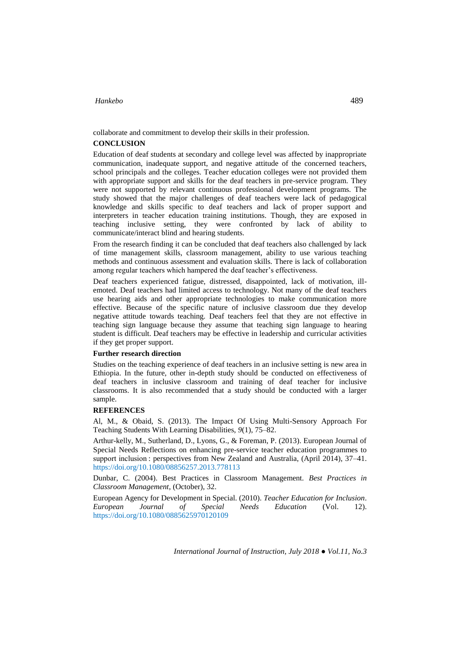collaborate and commitment to develop their skills in their profession.

#### **CONCLUSION**

Education of deaf students at secondary and college level was affected by inappropriate communication, inadequate support, and negative attitude of the concerned teachers, school principals and the colleges. Teacher education colleges were not provided them with appropriate support and skills for the deaf teachers in pre-service program. They were not supported by relevant continuous professional development programs. The study showed that the major challenges of deaf teachers were lack of pedagogical knowledge and skills specific to deaf teachers and lack of proper support and interpreters in teacher education training institutions. Though, they are exposed in teaching inclusive setting, they were confronted by lack of ability to communicate/interact blind and hearing students.

From the research finding it can be concluded that deaf teachers also challenged by lack of time management skills, classroom management, ability to use various teaching methods and continuous assessment and evaluation skills. There is lack of collaboration among regular teachers which hampered the deaf teacher's effectiveness.

Deaf teachers experienced fatigue, distressed, disappointed, lack of motivation, illemoted. Deaf teachers had limited access to technology. Not many of the deaf teachers use hearing aids and other appropriate technologies to make communication more effective. Because of the specific nature of inclusive classroom due they develop negative attitude towards teaching. Deaf teachers feel that they are not effective in teaching sign language because they assume that teaching sign language to hearing student is difficult. Deaf teachers may be effective in leadership and curricular activities if they get proper support.

### **Further research direction**

Studies on the teaching experience of deaf teachers in an inclusive setting is new area in Ethiopia. In the future, other in-depth study should be conducted on effectiveness of deaf teachers in inclusive classroom and training of deaf teacher for inclusive classrooms. It is also recommended that a study should be conducted with a larger sample.

### **REFERENCES**

Al, M., & Obaid, S. (2013). The Impact Of Using Multi-Sensory Approach For Teaching Students With Learning Disabilities, *9*(1), 75–82.

Arthur-kelly, M., Sutherland, D., Lyons, G., & Foreman, P. (2013). European Journal of Special Needs Reflections on enhancing pre-service teacher education programmes to support inclusion : perspectives from New Zealand and Australia, (April 2014), 37–41. https://doi.org/10.1080/08856257.2013.778113

Dunbar, C. (2004). Best Practices in Classroom Management. *Best Practices in Classroom Management*, (October), 32.

European Agency for Development in Special. (2010). *Teacher Education for Inclusion*. *European Journal of Special Needs Education* (Vol. 12). https://doi.org/10.1080/0885625970120109

*International Journal of Instruction, July 2018 ● Vol.11, No.3*